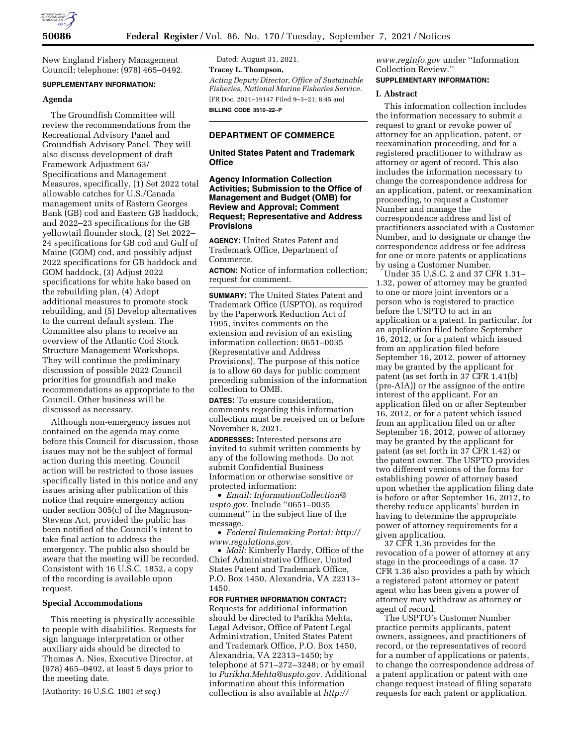

New England Fishery Management Council; telephone: (978) 465–0492.

## **SUPPLEMENTARY INFORMATION:**

## **Agenda**

The Groundfish Committee will review the recommendations from the Recreational Advisory Panel and Groundfish Advisory Panel. They will also discuss development of draft Framework Adjustment 63/ Specifications and Management Measures, specifically, (1) Set 2022 total allowable catches for U.S./Canada management units of Eastern Georges Bank (GB) cod and Eastern GB haddock, and 2022–23 specifications for the GB yellowtail flounder stock, (2) Set 2022– 24 specifications for GB cod and Gulf of Maine (GOM) cod, and possibly adjust 2022 specifications for GB haddock and GOM haddock, (3) Adjust 2022 specifications for white hake based on the rebuilding plan, (4) Adopt additional measures to promote stock rebuilding, and (5) Develop alternatives to the current default system. The Committee also plans to receive an overview of the Atlantic Cod Stock Structure Management Workshops. They will continue the preliminary discussion of possible 2022 Council priorities for groundfish and make recommendations as appropriate to the Council. Other business will be discussed as necessary.

Although non-emergency issues not contained on the agenda may come before this Council for discussion, those issues may not be the subject of formal action during this meeting. Council action will be restricted to those issues specifically listed in this notice and any issues arising after publication of this notice that require emergency action under section 305(c) of the Magnuson-Stevens Act, provided the public has been notified of the Council's intent to take final action to address the emergency. The public also should be aware that the meeting will be recorded. Consistent with 16 U.S.C. 1852, a copy of the recording is available upon request.

### **Special Accommodations**

This meeting is physically accessible to people with disabilities. Requests for sign language interpretation or other auxiliary aids should be directed to Thomas A. Nies, Executive Director, at (978) 465–0492, at least 5 days prior to the meeting date.

(Authority: 16 U.S.C. 1801 *et seq.*)

Dated: August 31, 2021. **Tracey L. Thompson,**  *Acting Deputy Director, Office of Sustainable Fisheries, National Marine Fisheries Service.*  [FR Doc. 2021–19147 Filed 9–3–21; 8:45 am] **BILLING CODE 3510–22–P** 

### **DEPARTMENT OF COMMERCE**

### **United States Patent and Trademark Office**

### **Agency Information Collection Activities; Submission to the Office of Management and Budget (OMB) for Review and Approval; Comment Request; Representative and Address Provisions**

**AGENCY:** United States Patent and Trademark Office, Department of Commerce.

**ACTION:** Notice of information collection; request for comment.

**SUMMARY:** The United States Patent and Trademark Office (USPTO), as required by the Paperwork Reduction Act of 1995, invites comments on the extension and revision of an existing information collection: 0651–0035 (Representative and Address Provisions). The purpose of this notice is to allow 60 days for public comment preceding submission of the information collection to OMB.

**DATES:** To ensure consideration, comments regarding this information collection must be received on or before November 8, 2021.

**ADDRESSES:** Interested persons are invited to submit written comments by any of the following methods. Do not submit Confidential Business Information or otherwise sensitive or protected information:

• *Email: [InformationCollection@](mailto:InformationCollection@uspto.gov) [uspto.gov.](mailto:InformationCollection@uspto.gov)* Include ''0651–0035 comment'' in the subject line of the message.

• *Federal Rulemaking Portal: [http://](http://www.regulations.gov) [www.regulations.gov.](http://www.regulations.gov)* 

• *Mail:* Kimberly Hardy, Office of the Chief Administrative Officer, United States Patent and Trademark Office, P.O. Box 1450, Alexandria, VA 22313– 1450.

**FOR FURTHER INFORMATION CONTACT:**  Requests for additional information should be directed to Parikha Mehta, Legal Advisor, Office of Patent Legal Administration, United States Patent and Trademark Office, P.O. Box 1450, Alexandria, VA 22313–1450; by telephone at 571–272–3248; or by email to *[Parikha.Mehta@uspto.gov.](mailto:Parikha.Mehta@uspto.gov)* Additional information about this information collection is also available at *[http://](http://www.reginfo.gov)*

*[www.reginfo.gov](http://www.reginfo.gov)* under ''Information Collection Review.''

# **SUPPLEMENTARY INFORMATION:**

## **I. Abstract**

This information collection includes the information necessary to submit a request to grant or revoke power of attorney for an application, patent, or reexamination proceeding, and for a registered practitioner to withdraw as attorney or agent of record. This also includes the information necessary to change the correspondence address for an application, patent, or reexamination proceeding, to request a Customer Number and manage the correspondence address and list of practitioners associated with a Customer Number, and to designate or change the correspondence address or fee address for one or more patents or applications by using a Customer Number.

Under 35 U.S.C. 2 and 37 CFR 1.31– 1.32, power of attorney may be granted to one or more joint inventors or a person who is registered to practice before the USPTO to act in an application or a patent. In particular, for an application filed before September 16, 2012, or for a patent which issued from an application filed before September 16, 2012, power of attorney may be granted by the applicant for patent (as set forth in 37 CFR 1.41(b) (pre-AIA)) or the assignee of the entire interest of the applicant. For an application filed on or after September 16, 2012, or for a patent which issued from an application filed on or after September 16, 2012, power of attorney may be granted by the applicant for patent (as set forth in 37 CFR 1.42) or the patent owner. The USPTO provides two different versions of the forms for establishing power of attorney based upon whether the application filing date is before or after September 16, 2012, to thereby reduce applicants' burden in having to determine the appropriate power of attorney requirements for a given application.

37 CFR 1.36 provides for the revocation of a power of attorney at any stage in the proceedings of a case. 37 CFR 1.36 also provides a path by which a registered patent attorney or patent agent who has been given a power of attorney may withdraw as attorney or agent of record.

The USPTO's Customer Number practice permits applicants, patent owners, assignees, and practitioners of record, or the representatives of record for a number of applications or patents, to change the correspondence address of a patent application or patent with one change request instead of filing separate requests for each patent or application.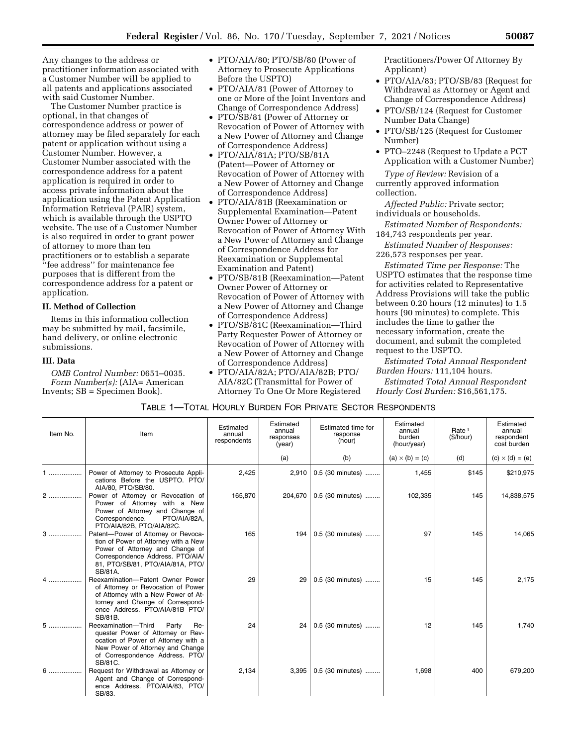Any changes to the address or practitioner information associated with a Customer Number will be applied to all patents and applications associated with said Customer Number.

The Customer Number practice is optional, in that changes of correspondence address or power of attorney may be filed separately for each patent or application without using a Customer Number. However, a Customer Number associated with the correspondence address for a patent application is required in order to access private information about the application using the Patent Application Information Retrieval (PAIR) system, which is available through the USPTO website. The use of a Customer Number is also required in order to grant power of attorney to more than ten practitioners or to establish a separate ''fee address'' for maintenance fee purposes that is different from the

correspondence address for a patent or application.

## **II. Method of Collection**

Items in this information collection may be submitted by mail, facsimile, hand delivery, or online electronic submissions.

## **III. Data**

*OMB Control Number:* 0651–0035. *Form Number(s):* (AIA= American Invents; SB = Specimen Book).

- PTO/AIA/80; PTO/SB/80 (Power of Attorney to Prosecute Applications Before the USPTO)
- PTO/AIA/81 (Power of Attorney to one or More of the Joint Inventors and Change of Correspondence Address)
- PTO/SB/81 (Power of Attorney or Revocation of Power of Attorney with a New Power of Attorney and Change of Correspondence Address)
- PTO/AIA/81A; PTO/SB/81A (Patent—Power of Attorney or Revocation of Power of Attorney with a New Power of Attorney and Change of Correspondence Address)
- PTO/AIA/81B (Reexamination or Supplemental Examination—Patent Owner Power of Attorney or Revocation of Power of Attorney With a New Power of Attorney and Change of Correspondence Address for Reexamination or Supplemental Examination and Patent)
- PTO/SB/81B (Reexamination—Patent Owner Power of Attorney or Revocation of Power of Attorney with a New Power of Attorney and Change of Correspondence Address)
- PTO/SB/81C (Reexamination—Third Party Requester Power of Attorney or Revocation of Power of Attorney with a New Power of Attorney and Change of Correspondence Address)
- PTO/AIA/82A; PTO/AIA/82B; PTO/ AIA/82C (Transmittal for Power of Attorney To One Or More Registered

Practitioners/Power Of Attorney By Applicant)

- PTO/AIA/83; PTO/SB/83 (Request for Withdrawal as Attorney or Agent and Change of Correspondence Address)
- PTO/SB/124 (Request for Customer Number Data Change)
- PTO/SB/125 (Request for Customer Number)
- PTO–2248 (Request to Update a PCT Application with a Customer Number)

*Type of Review:* Revision of a currently approved information collection.

*Affected Public:* Private sector; individuals or households.

*Estimated Number of Respondents:*  184,743 respondents per year.

*Estimated Number of Responses:*  226,573 responses per year.

*Estimated Time per Response:* The USPTO estimates that the response time for activities related to Representative Address Provisions will take the public between 0.20 hours (12 minutes) to 1.5 hours (90 minutes) to complete. This includes the time to gather the necessary information, create the document, and submit the completed request to the USPTO.

*Estimated Total Annual Respondent Burden Hours:* 111,104 hours.

*Estimated Total Annual Respondent Hourly Cost Burden:* \$16,561,175.

### TABLE 1—TOTAL HOURLY BURDEN FOR PRIVATE SECTOR RESPONDENTS

| Item No. | Item                                                                                                                                                                                              | Estimated<br>annual<br>respondents | Estimated<br>annual<br>responses<br>(year) | Estimated time for<br>response<br>(hour) | Estimated<br>annual<br>burden<br>(hour/year) | Rate <sup>1</sup><br>(\$/hour) | Estimated<br>annual<br>respondent<br>cost burden |
|----------|---------------------------------------------------------------------------------------------------------------------------------------------------------------------------------------------------|------------------------------------|--------------------------------------------|------------------------------------------|----------------------------------------------|--------------------------------|--------------------------------------------------|
|          |                                                                                                                                                                                                   |                                    | (a)                                        | (b)                                      | $(a) \times (b) = (c)$                       | (d)                            | $(c) \times (d) = (e)$                           |
| 1        | Power of Attorney to Prosecute Appli-<br>cations Before the USPTO. PTO/<br>AIA/80, PTO/SB/80.                                                                                                     | 2,425                              | 2,910                                      | 0.5 (30 minutes)                         | 1,455                                        | \$145                          | \$210,975                                        |
| 2        | Power of Attorney or Revocation of<br>Power of Attorney with a New<br>Power of Attorney and Change of<br>Correspondence.<br>PTO/AIA/82A,<br>PTO/AIA/82B, PTO/AIA/82C.                             | 165,870                            | 204.670                                    | 0.5 (30 minutes)                         | 102,335                                      | 145                            | 14,838,575                                       |
| $3$      | Patent-Power of Attorney or Revoca-<br>tion of Power of Attorney with a New<br>Power of Attorney and Change of<br>Correspondence Address. PTO/AIA/<br>81, PTO/SB/81, PTO/AIA/81A, PTO/<br>SB/81A. | 165                                | 194                                        | 0.5 (30 minutes)                         | 97                                           | 145                            | 14,065                                           |
|          | Reexamination-Patent Owner Power<br>of Attorney or Revocation of Power<br>of Attorney with a New Power of At-<br>torney and Change of Correspond-<br>ence Address. PTO/AIA/81B PTO/<br>SB/81B.    | 29                                 | 29                                         | 0.5 (30 minutes)                         | 15                                           | 145                            | 2,175                                            |
| 5        | Reexamination-Third<br>Party<br>Re-<br>quester Power of Attorney or Rev-<br>ocation of Power of Attorney with a<br>New Power of Attorney and Change<br>of Correspondence Address. PTO/<br>SB/81C. | 24                                 | 24                                         | 0.5 (30 minutes)                         | 12                                           | 145                            | 1,740                                            |
| $6$      | Request for Withdrawal as Attorney or<br>Agent and Change of Correspond-<br>ence Address. PTO/AIA/83, PTO/<br>SB/83.                                                                              | 2,134                              | 3,395                                      | 0.5 (30 minutes)                         | 1,698                                        | 400                            | 679,200                                          |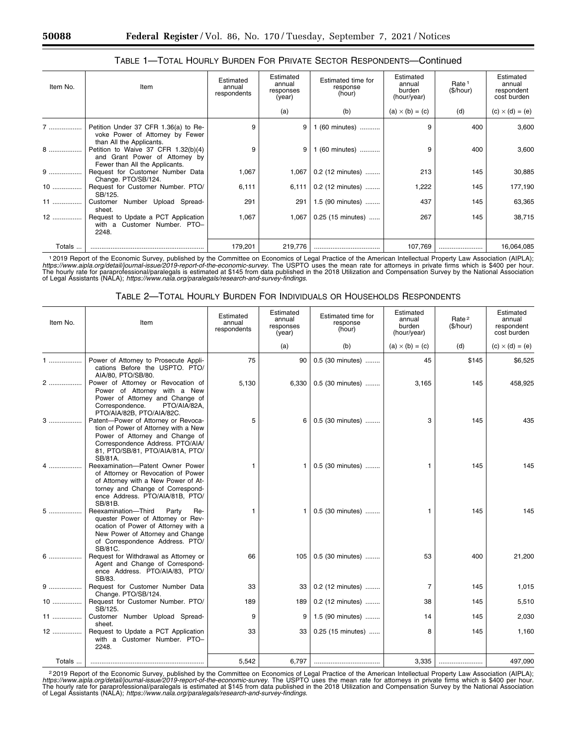| Item No. | Item                                                                                                                                | Estimated<br>annual<br>respondents | Estimated<br>annual<br>responses<br>(year) | Estimated time for<br>response<br>(hour) | Estimated<br>annual<br>burden<br>(hour/year) | Rate <sup>1</sup><br>(\$/hour) | Estimated<br>annual<br>respondent<br>cost burden |
|----------|-------------------------------------------------------------------------------------------------------------------------------------|------------------------------------|--------------------------------------------|------------------------------------------|----------------------------------------------|--------------------------------|--------------------------------------------------|
|          |                                                                                                                                     |                                    | (a)                                        | (b)                                      | $(a) \times (b) = (c)$                       | (d)                            | $(c) \times (d) = (e)$                           |
|          | Petition Under 37 CFR 1.36(a) to Re-<br>voke Power of Attorney by Fewer                                                             | 9                                  | 9                                          | 1 (60 minutes)                           | 9                                            | 400                            | 3,600                                            |
| 8        | than All the Applicants.<br>Petition to Waive 37 CFR 1.32(b)(4)<br>and Grant Power of Attorney by<br>Fewer than All the Applicants. | 9                                  |                                            | 1 (60 minutes)                           | 9                                            | 400                            | 3,600                                            |
| $9$      | Request for Customer Number Data<br>Change. PTO/SB/124.                                                                             | 1,067                              | 1,067                                      | $0.2$ (12 minutes)                       | 213                                          | 145                            | 30,885                                           |
| $10$     | Request for Customer Number. PTO/<br>SB/125.                                                                                        | 6,111                              | 6,111                                      | 0.2 (12 minutes)                         | 1,222                                        | 145                            | 177,190                                          |
| 11       | Customer Number Upload Spread-<br>sheet.                                                                                            | 291                                | 291                                        | 1.5 (90 minutes)                         | 437                                          | 145                            | 63,365                                           |
| $12$     | Request to Update a PCT Application<br>with a Customer Number. PTO-<br>2248.                                                        | 1,067                              | 1,067                                      | 0.25 (15 minutes)                        | 267                                          | 145                            | 38,715                                           |
| Totals   |                                                                                                                                     | 179,201                            | 219,776                                    |                                          | 107,769                                      |                                | 16,064,085                                       |

## TABLE 1—TOTAL HOURLY BURDEN FOR PRIVATE SECTOR RESPONDENTS—Continued

1 2019 Report of the Economic Survey, published by the Committee on Economics of Legal Practice of the American Intellectual Property Law Association (AIPLA); *https://www.aipla.org/detail/journal-issue/2019-report-of-the-economic-survey.* The USPTO uses the mean rate for attorneys in private firms which is \$400 per hour.<br>The hourly rate for paraprofessional/paralegals is estima

# TABLE 2—TOTAL HOURLY BURDEN FOR INDIVIDUALS OR HOUSEHOLDS RESPONDENTS

| Item No. | Item                                                                                                                                                                                              | Estimated<br>annual<br>respondents | Estimated<br>annual<br>responses<br>(year) | Estimated time for<br>response<br>(hour) | Estimated<br>annual<br>burden<br>(hour/year) | Rate <sup>2</sup><br>(\$/hour) | Estimated<br>annual<br>respondent<br>cost burden |
|----------|---------------------------------------------------------------------------------------------------------------------------------------------------------------------------------------------------|------------------------------------|--------------------------------------------|------------------------------------------|----------------------------------------------|--------------------------------|--------------------------------------------------|
|          |                                                                                                                                                                                                   |                                    | (a)                                        | (b)                                      | $(a) \times (b) = (c)$                       | (d)                            | $(c) \times (d) = (e)$                           |
|          | Power of Attorney to Prosecute Appli-<br>cations Before the USPTO. PTO/<br>AIA/80, PTO/SB/80.                                                                                                     | 75                                 | 90                                         | 0.5 (30 minutes)                         | 45                                           | \$145                          | \$6,525                                          |
| 2        | Power of Attorney or Revocation of<br>Power of Attorney with a New<br>Power of Attorney and Change of<br>Correspondence.<br>PTO/AIA/82A,<br>PTO/AIA/82B, PTO/AIA/82C.                             | 5,130                              | 6,330                                      | 0.5 (30 minutes)                         | 3,165                                        | 145                            | 458,925                                          |
| $3$      | Patent-Power of Attorney or Revoca-<br>tion of Power of Attorney with a New<br>Power of Attorney and Change of<br>Correspondence Address. PTO/AIA/<br>81, PTO/SB/81, PTO/AIA/81A, PTO/<br>SB/81A. | 5                                  | 6                                          | 0.5 (30 minutes)                         | 3                                            | 145                            | 435                                              |
| 4        | Reexamination-Patent Owner Power<br>of Attorney or Revocation of Power<br>of Attorney with a New Power of At-<br>torney and Change of Correspond-<br>ence Address. PTO/AIA/81B, PTO/<br>SB/81B.   | 1                                  |                                            | 0.5 (30 minutes)                         | 1                                            | 145                            | 145                                              |
| $5$      | Reexamination-Third Party<br>Re-<br>quester Power of Attorney or Rev-<br>ocation of Power of Attorney with a<br>New Power of Attorney and Change<br>of Correspondence Address. PTO/<br>SB/81C.    | 1                                  |                                            | 0.5 (30 minutes)                         | 1                                            | 145                            | 145                                              |
| 6        | Request for Withdrawal as Attorney or<br>Agent and Change of Correspond-<br>ence Address. PTO/AIA/83, PTO/<br>SB/83.                                                                              | 66                                 | 105                                        | 0.5 (30 minutes)                         | 53                                           | 400                            | 21,200                                           |
| 9        | Request for Customer Number Data<br>Change. PTO/SB/124.                                                                                                                                           | 33                                 | 33                                         | 0.2 (12 minutes)                         | $\overline{7}$                               | 145                            | 1,015                                            |
| $10$     | Request for Customer Number. PTO/<br>SB/125.                                                                                                                                                      | 189                                | 189                                        | 0.2 (12 minutes)                         | 38                                           | 145                            | 5,510                                            |
| 11       | Customer Number Upload Spread-<br>sheet.                                                                                                                                                          | 9                                  | 9                                          | 1.5 (90 minutes)                         | 14                                           | 145                            | 2,030                                            |
| 12       | Request to Update a PCT Application<br>with a Customer Number. PTO-<br>2248.                                                                                                                      | 33                                 | 33                                         | 0.25 (15 minutes)                        | 8                                            | 145                            | 1,160                                            |
| Totals   |                                                                                                                                                                                                   | 5.542                              | 6,797                                      |                                          | 3,335                                        |                                | 497.090                                          |

<sup>2</sup>2019 Report of the Economic Survey, published by the Committee on Economics of Legal Practice of the American Intellectual Property Law Association (AIPLA);<br>https://www.aipla.org/detail/journal-issue/2019-report-of-theof Legal Assistants (NALA); *[https://www.nala.org/paralegals/research-and-survey-findings.](https://www.nala.org/paralegals/research-and-survey-findings)*